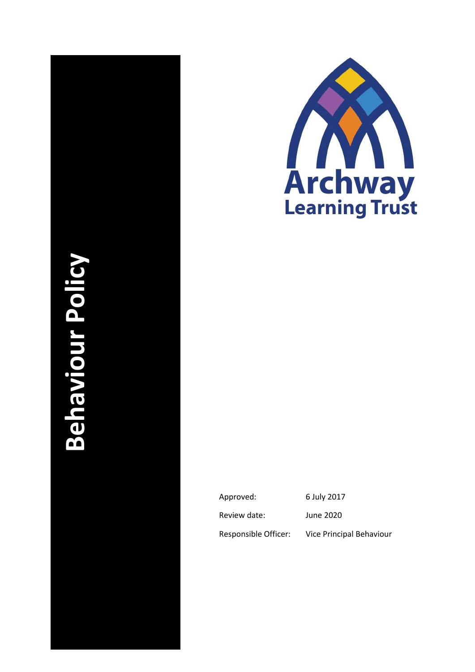# **Behaviour Policy Archway Behaviour Policy**



| Approved:            | 6 July 2017              |
|----------------------|--------------------------|
| Review date:         | June 2020                |
| Responsible Officer: | Vice Principal Behaviour |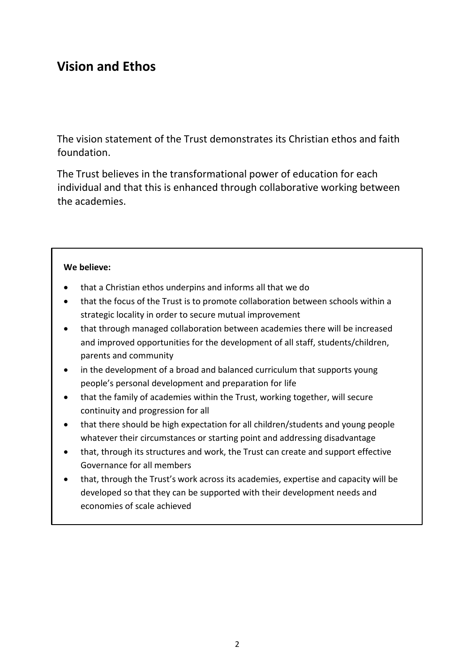# **Vision and Ethos**

The vision statement of the Trust demonstrates its Christian ethos and faith foundation.

The Trust believes in the transformational power of education for each individual and that this is enhanced through collaborative working between the academies.

### **We believe:**

- that a Christian ethos underpins and informs all that we do
- that the focus of the Trust is to promote collaboration between schools within a strategic locality in order to secure mutual improvement
- that through managed collaboration between academies there will be increased and improved opportunities for the development of all staff, students/children, parents and community
- in the development of a broad and balanced curriculum that supports young people's personal development and preparation for life
- that the family of academies within the Trust, working together, will secure continuity and progression for all
- that there should be high expectation for all children/students and young people whatever their circumstances or starting point and addressing disadvantage
- that, through its structures and work, the Trust can create and support effective Governance for all members
- that, through the Trust's work across its academies, expertise and capacity will be developed so that they can be supported with their development needs and economies of scale achieved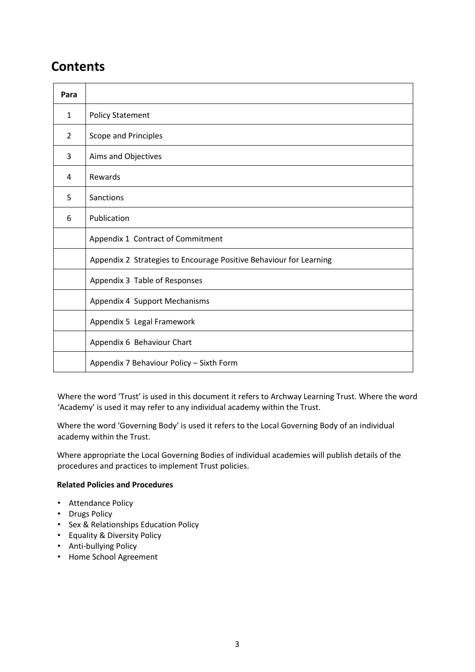# **Contents**

| Para         |                                                                    |
|--------------|--------------------------------------------------------------------|
| $\mathbf{1}$ | <b>Policy Statement</b>                                            |
| 2            | Scope and Principles                                               |
| 3            | Aims and Objectives                                                |
| 4            | Rewards                                                            |
| 5            | Sanctions                                                          |
| 6            | Publication                                                        |
|              | Appendix 1 Contract of Commitment                                  |
|              | Appendix 2 Strategies to Encourage Positive Behaviour for Learning |
|              | Appendix 3 Table of Responses                                      |
|              | Appendix 4 Support Mechanisms                                      |
|              | Appendix 5 Legal Framework                                         |
|              | Appendix 6 Behaviour Chart                                         |
|              | Appendix 7 Behaviour Policy - Sixth Form                           |

Where the word 'Trust' is used in this document it refers to Archway Learning Trust. Where the word 'Academy' is used it may refer to any individual academy within the Trust.

Where the word 'Governing Body' is used it refers to the Local Governing Body of an individual academy within the Trust.

Where appropriate the Local Governing Bodies of individual academies will publish details of the procedures and practices to implement Trust policies.

### **Related Policies and Procedures**

- Attendance Policy
- Drugs Policy
- Sex & Relationships Education Policy
- Equality & Diversity Policy
- Anti-bullying Policy
- Home School Agreement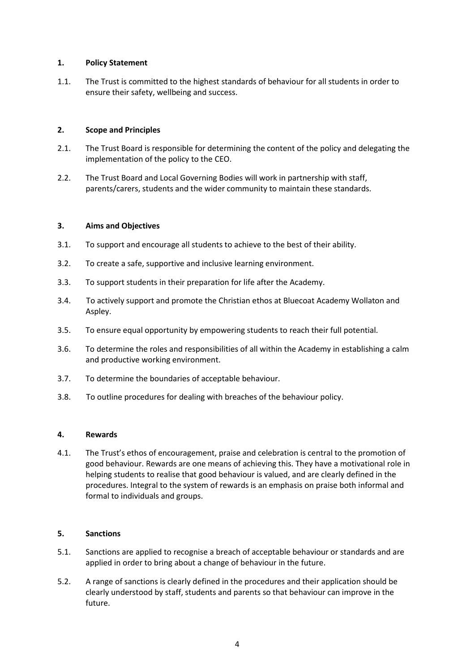### **1. Policy Statement**

1.1. The Trust is committed to the highest standards of behaviour for all students in order to ensure their safety, wellbeing and success.

### **2. Scope and Principles**

- 2.1. The Trust Board is responsible for determining the content of the policy and delegating the implementation of the policy to the CEO.
- 2.2. The Trust Board and Local Governing Bodies will work in partnership with staff, parents/carers, students and the wider community to maintain these standards.

### **3. Aims and Objectives**

- 3.1. To support and encourage all students to achieve to the best of their ability.
- 3.2. To create a safe, supportive and inclusive learning environment.
- 3.3. To support students in their preparation for life after the Academy.
- 3.4. To actively support and promote the Christian ethos at Bluecoat Academy Wollaton and Aspley.
- 3.5. To ensure equal opportunity by empowering students to reach their full potential.
- 3.6. To determine the roles and responsibilities of all within the Academy in establishing a calm and productive working environment.
- 3.7. To determine the boundaries of acceptable behaviour.
- 3.8. To outline procedures for dealing with breaches of the behaviour policy.

### **4. Rewards**

4.1. The Trust's ethos of encouragement, praise and celebration is central to the promotion of good behaviour. Rewards are one means of achieving this. They have a motivational role in helping students to realise that good behaviour is valued, and are clearly defined in the procedures. Integral to the system of rewards is an emphasis on praise both informal and formal to individuals and groups.

### **5. Sanctions**

- 5.1. Sanctions are applied to recognise a breach of acceptable behaviour or standards and are applied in order to bring about a change of behaviour in the future.
- 5.2. A range of sanctions is clearly defined in the procedures and their application should be clearly understood by staff, students and parents so that behaviour can improve in the future.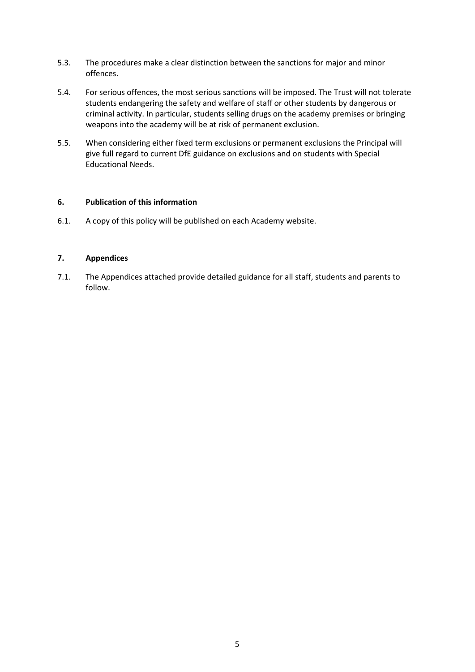- 5.3. The procedures make a clear distinction between the sanctions for major and minor offences.
- 5.4. For serious offences, the most serious sanctions will be imposed. The Trust will not tolerate students endangering the safety and welfare of staff or other students by dangerous or criminal activity. In particular, students selling drugs on the academy premises or bringing weapons into the academy will be at risk of permanent exclusion.
- 5.5. When considering either fixed term exclusions or permanent exclusions the Principal will give full regard to current DfE guidance on exclusions and on students with Special Educational Needs.

### **6. Publication of this information**

6.1. A copy of this policy will be published on each Academy website.

### **7. Appendices**

7.1. The Appendices attached provide detailed guidance for all staff, students and parents to follow.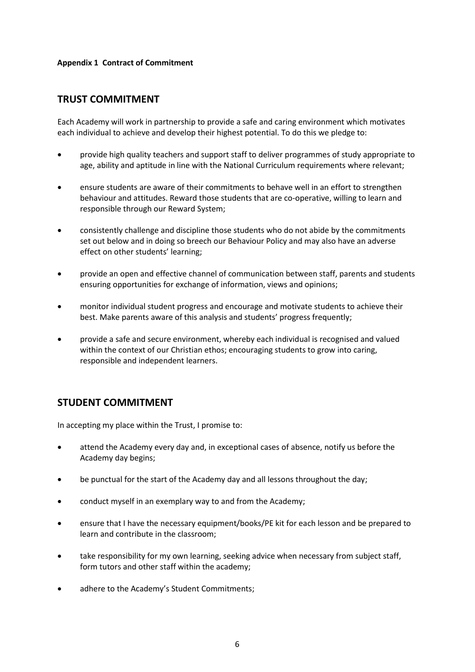### **Appendix 1 Contract of Commitment**

# **TRUST COMMITMENT**

Each Academy will work in partnership to provide a safe and caring environment which motivates each individual to achieve and develop their highest potential. To do this we pledge to:

- provide high quality teachers and support staff to deliver programmes of study appropriate to age, ability and aptitude in line with the National Curriculum requirements where relevant;
- ensure students are aware of their commitments to behave well in an effort to strengthen behaviour and attitudes. Reward those students that are co-operative, willing to learn and responsible through our Reward System;
- consistently challenge and discipline those students who do not abide by the commitments set out below and in doing so breech our Behaviour Policy and may also have an adverse effect on other students' learning;
- provide an open and effective channel of communication between staff, parents and students ensuring opportunities for exchange of information, views and opinions;
- monitor individual student progress and encourage and motivate students to achieve their best. Make parents aware of this analysis and students' progress frequently;
- provide a safe and secure environment, whereby each individual is recognised and valued within the context of our Christian ethos; encouraging students to grow into caring, responsible and independent learners.

# **STUDENT COMMITMENT**

In accepting my place within the Trust, I promise to:

- attend the Academy every day and, in exceptional cases of absence, notify us before the Academy day begins;
- be punctual for the start of the Academy day and all lessons throughout the day;
- conduct myself in an exemplary way to and from the Academy;
- ensure that I have the necessary equipment/books/PE kit for each lesson and be prepared to learn and contribute in the classroom;
- take responsibility for my own learning, seeking advice when necessary from subject staff, form tutors and other staff within the academy;
- adhere to the Academy's Student Commitments;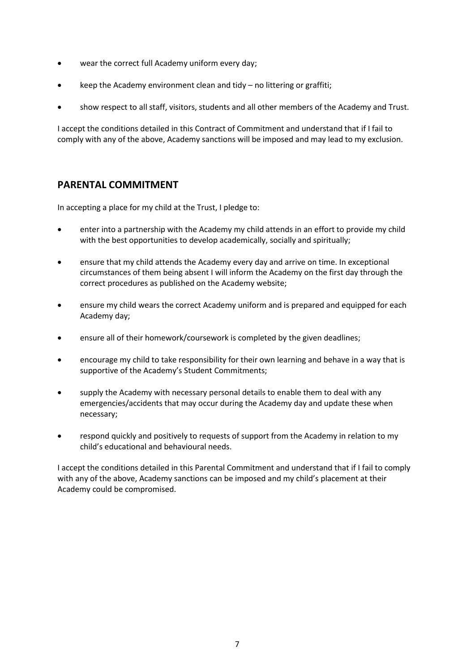- wear the correct full Academy uniform every day;
- keep the Academy environment clean and tidy no littering or graffiti;
- show respect to all staff, visitors, students and all other members of the Academy and Trust.

I accept the conditions detailed in this Contract of Commitment and understand that if I fail to comply with any of the above, Academy sanctions will be imposed and may lead to my exclusion.

# **PARENTAL COMMITMENT**

In accepting a place for my child at the Trust, I pledge to:

- enter into a partnership with the Academy my child attends in an effort to provide my child with the best opportunities to develop academically, socially and spiritually;
- ensure that my child attends the Academy every day and arrive on time. In exceptional circumstances of them being absent I will inform the Academy on the first day through the correct procedures as published on the Academy website;
- ensure my child wears the correct Academy uniform and is prepared and equipped for each Academy day;
- ensure all of their homework/coursework is completed by the given deadlines;
- encourage my child to take responsibility for their own learning and behave in a way that is supportive of the Academy's Student Commitments;
- supply the Academy with necessary personal details to enable them to deal with any emergencies/accidents that may occur during the Academy day and update these when necessary;
- respond quickly and positively to requests of support from the Academy in relation to my child's educational and behavioural needs.

I accept the conditions detailed in this Parental Commitment and understand that if I fail to comply with any of the above, Academy sanctions can be imposed and my child's placement at their Academy could be compromised.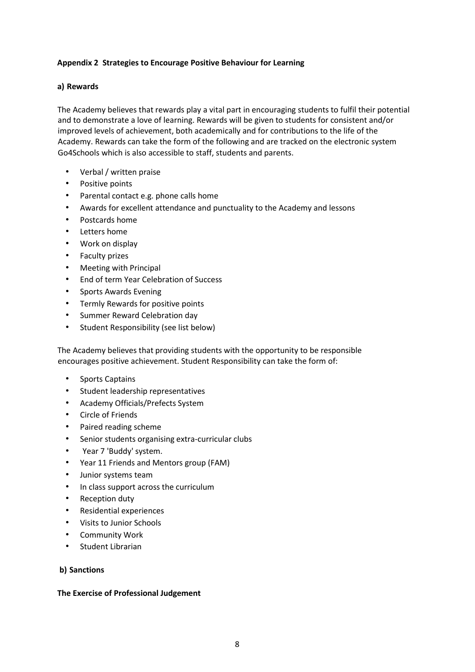### **Appendix 2 Strategies to Encourage Positive Behaviour for Learning**

### **a) Rewards**

The Academy believes that rewards play a vital part in encouraging students to fulfil their potential and to demonstrate a love of learning. Rewards will be given to students for consistent and/or improved levels of achievement, both academically and for contributions to the life of the Academy. Rewards can take the form of the following and are tracked on the electronic system Go4Schools which is also accessible to staff, students and parents.

- Verbal / written praise
- Positive points
- Parental contact e.g. phone calls home
- Awards for excellent attendance and punctuality to the Academy and lessons
- Postcards home
- Letters home
- Work on display
- Faculty prizes
- Meeting with Principal
- End of term Year Celebration of Success
- Sports Awards Evening
- Termly Rewards for positive points
- Summer Reward Celebration day
- Student Responsibility (see list below)

The Academy believes that providing students with the opportunity to be responsible encourages positive achievement. Student Responsibility can take the form of:

- Sports Captains
- Student leadership representatives
- Academy Officials/Prefects System
- Circle of Friends
- Paired reading scheme
- Senior students organising extra-curricular clubs
- Year 7 'Buddy' system.
- Year 11 Friends and Mentors group (FAM)
- Junior systems team
- In class support across the curriculum
- Reception duty
- Residential experiences
- Visits to Junior Schools
- Community Work
- Student Librarian

### **b) Sanctions**

### **The Exercise of Professional Judgement**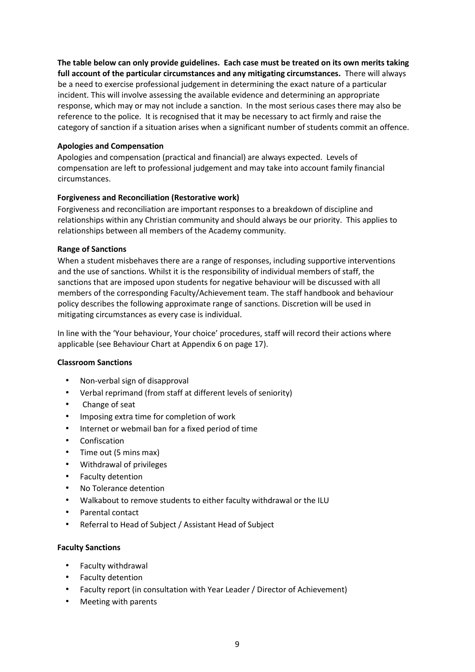**The table below can only provide guidelines. Each case must be treated on its own merits taking full account of the particular circumstances and any mitigating circumstances.** There will always be a need to exercise professional judgement in determining the exact nature of a particular incident. This will involve assessing the available evidence and determining an appropriate response, which may or may not include a sanction. In the most serious cases there may also be reference to the police. It is recognised that it may be necessary to act firmly and raise the category of sanction if a situation arises when a significant number of students commit an offence.

### **Apologies and Compensation**

Apologies and compensation (practical and financial) are always expected. Levels of compensation are left to professional judgement and may take into account family financial circumstances.

### **Forgiveness and Reconciliation (Restorative work)**

Forgiveness and reconciliation are important responses to a breakdown of discipline and relationships within any Christian community and should always be our priority. This applies to relationships between all members of the Academy community.

### **Range of Sanctions**

When a student misbehaves there are a range of responses, including supportive interventions and the use of sanctions. Whilst it is the responsibility of individual members of staff, the sanctions that are imposed upon students for negative behaviour will be discussed with all members of the corresponding Faculty/Achievement team. The staff handbook and behaviour policy describes the following approximate range of sanctions. Discretion will be used in mitigating circumstances as every case is individual.

In line with the 'Your behaviour, Your choice' procedures, staff will record their actions where applicable (see Behaviour Chart at Appendix 6 on page 17).

### **Classroom Sanctions**

- Non-verbal sign of disapproval
- Verbal reprimand (from staff at different levels of seniority)
- Change of seat
- Imposing extra time for completion of work
- Internet or webmail ban for a fixed period of time
- **Confiscation**
- Time out (5 mins max)
- Withdrawal of privileges
- Faculty detention
- No Tolerance detention
- Walkabout to remove students to either faculty withdrawal or the ILU
- Parental contact
- Referral to Head of Subject / Assistant Head of Subject

### **Faculty Sanctions**

- Faculty withdrawal
- Faculty detention
- Faculty report (in consultation with Year Leader / Director of Achievement)
- Meeting with parents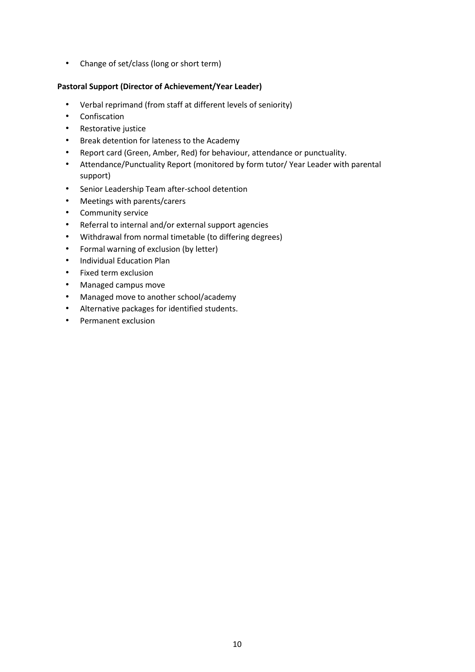• Change of set/class (long or short term)

### **Pastoral Support (Director of Achievement/Year Leader)**

- Verbal reprimand (from staff at different levels of seniority)
- Confiscation
- Restorative justice
- Break detention for lateness to the Academy
- Report card (Green, Amber, Red) for behaviour, attendance or punctuality.
- Attendance/Punctuality Report (monitored by form tutor/ Year Leader with parental support)
- Senior Leadership Team after-school detention
- Meetings with parents/carers
- Community service
- Referral to internal and/or external support agencies
- Withdrawal from normal timetable (to differing degrees)
- Formal warning of exclusion (by letter)
- Individual Education Plan
- Fixed term exclusion
- Managed campus move
- Managed move to another school/academy
- Alternative packages for identified students.
- Permanent exclusion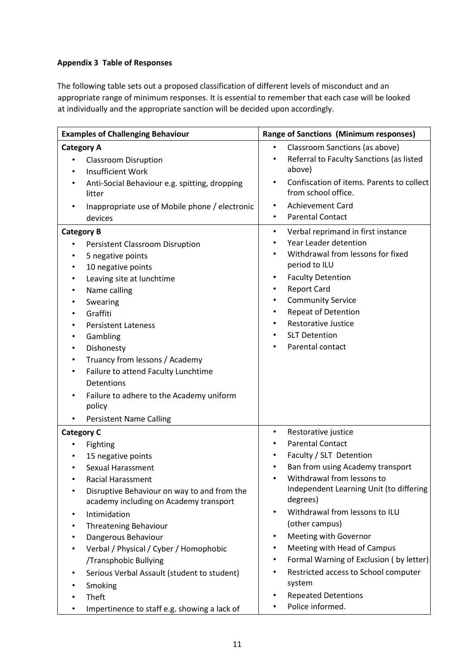### **Appendix 3 Table of Responses**

The following table sets out a proposed classification of different levels of misconduct and an appropriate range of minimum responses. It is essential to remember that each case will be looked at individually and the appropriate sanction will be decided upon accordingly.

| Classroom Sanctions (as above)<br><b>Category A</b><br>$\bullet$<br>Referral to Faculty Sanctions (as listed<br>$\bullet$<br><b>Classroom Disruption</b><br>٠<br>above)<br><b>Insufficient Work</b><br>$\bullet$<br>Confiscation of items. Parents to collect<br>$\bullet$<br>Anti-Social Behaviour e.g. spitting, dropping<br>$\bullet$<br>from school office.<br>litter<br><b>Achievement Card</b><br>$\bullet$<br>Inappropriate use of Mobile phone / electronic<br>$\bullet$<br><b>Parental Contact</b><br>$\bullet$<br>devices<br>Verbal reprimand in first instance<br><b>Category B</b><br>$\bullet$<br>Year Leader detention<br>$\bullet$<br>Persistent Classroom Disruption<br>$\bullet$<br>Withdrawal from lessons for fixed<br>$\bullet$<br>5 negative points<br>٠<br>period to ILU<br>10 negative points<br>٠<br><b>Faculty Detention</b><br>$\bullet$<br>Leaving site at lunchtime<br>٠<br><b>Report Card</b><br>$\bullet$<br>Name calling<br>$\bullet$<br><b>Community Service</b><br>$\bullet$<br>Swearing<br>$\bullet$<br><b>Repeat of Detention</b><br>$\bullet$<br>Graffiti<br>$\bullet$<br><b>Restorative Justice</b><br>$\bullet$<br><b>Persistent Lateness</b><br>٠<br><b>SLT Detention</b><br>٠<br>Gambling<br>$\bullet$<br>Parental contact<br>Dishonesty<br>$\bullet$<br>Truancy from lessons / Academy<br>$\bullet$<br>Failure to attend Faculty Lunchtime<br>$\bullet$<br>Detentions<br>Failure to adhere to the Academy uniform<br>٠<br>policy<br><b>Persistent Name Calling</b><br><b>Category C</b><br>Restorative justice<br>$\bullet$<br><b>Parental Contact</b><br>$\bullet$<br>Fighting<br>$\bullet$<br>Faculty / SLT Detention<br>$\bullet$<br>15 negative points<br>٠<br>Ban from using Academy transport<br>Sexual Harassment<br>$\bullet$<br>Withdrawal from lessons to<br>$\bullet$<br><b>Racial Harassment</b><br>$\bullet$<br>Independent Learning Unit (to differing<br>Disruptive Behaviour on way to and from the<br>$\bullet$<br>degrees)<br>academy including on Academy transport<br>Withdrawal from lessons to ILU<br>$\bullet$<br>Intimidation<br>٠<br>(other campus)<br><b>Threatening Behaviour</b><br>٠<br>Meeting with Governor<br>Dangerous Behaviour<br>$\bullet$<br>٠<br>Meeting with Head of Campus<br>Verbal / Physical / Cyber / Homophobic<br>$\bullet$<br>٠<br>Formal Warning of Exclusion (by letter)<br>/Transphobic Bullying<br>٠<br>Restricted access to School computer<br>Serious Verbal Assault (student to student)<br>$\bullet$<br>٠<br>system<br>Smoking<br><b>Repeated Detentions</b><br>Theft<br>Police informed. | <b>Examples of Challenging Behaviour</b> | <b>Range of Sanctions (Minimum responses)</b> |
|-------------------------------------------------------------------------------------------------------------------------------------------------------------------------------------------------------------------------------------------------------------------------------------------------------------------------------------------------------------------------------------------------------------------------------------------------------------------------------------------------------------------------------------------------------------------------------------------------------------------------------------------------------------------------------------------------------------------------------------------------------------------------------------------------------------------------------------------------------------------------------------------------------------------------------------------------------------------------------------------------------------------------------------------------------------------------------------------------------------------------------------------------------------------------------------------------------------------------------------------------------------------------------------------------------------------------------------------------------------------------------------------------------------------------------------------------------------------------------------------------------------------------------------------------------------------------------------------------------------------------------------------------------------------------------------------------------------------------------------------------------------------------------------------------------------------------------------------------------------------------------------------------------------------------------------------------------------------------------------------------------------------------------------------------------------------------------------------------------------------------------------------------------------------------------------------------------------------------------------------------------------------------------------------------------------------------------------------------------------------------------------------------------------------------------------------------------------------------------------------------------------------------------------------------------------------------------------------|------------------------------------------|-----------------------------------------------|
|                                                                                                                                                                                                                                                                                                                                                                                                                                                                                                                                                                                                                                                                                                                                                                                                                                                                                                                                                                                                                                                                                                                                                                                                                                                                                                                                                                                                                                                                                                                                                                                                                                                                                                                                                                                                                                                                                                                                                                                                                                                                                                                                                                                                                                                                                                                                                                                                                                                                                                                                                                                           |                                          |                                               |
|                                                                                                                                                                                                                                                                                                                                                                                                                                                                                                                                                                                                                                                                                                                                                                                                                                                                                                                                                                                                                                                                                                                                                                                                                                                                                                                                                                                                                                                                                                                                                                                                                                                                                                                                                                                                                                                                                                                                                                                                                                                                                                                                                                                                                                                                                                                                                                                                                                                                                                                                                                                           |                                          |                                               |
|                                                                                                                                                                                                                                                                                                                                                                                                                                                                                                                                                                                                                                                                                                                                                                                                                                                                                                                                                                                                                                                                                                                                                                                                                                                                                                                                                                                                                                                                                                                                                                                                                                                                                                                                                                                                                                                                                                                                                                                                                                                                                                                                                                                                                                                                                                                                                                                                                                                                                                                                                                                           |                                          |                                               |
|                                                                                                                                                                                                                                                                                                                                                                                                                                                                                                                                                                                                                                                                                                                                                                                                                                                                                                                                                                                                                                                                                                                                                                                                                                                                                                                                                                                                                                                                                                                                                                                                                                                                                                                                                                                                                                                                                                                                                                                                                                                                                                                                                                                                                                                                                                                                                                                                                                                                                                                                                                                           |                                          |                                               |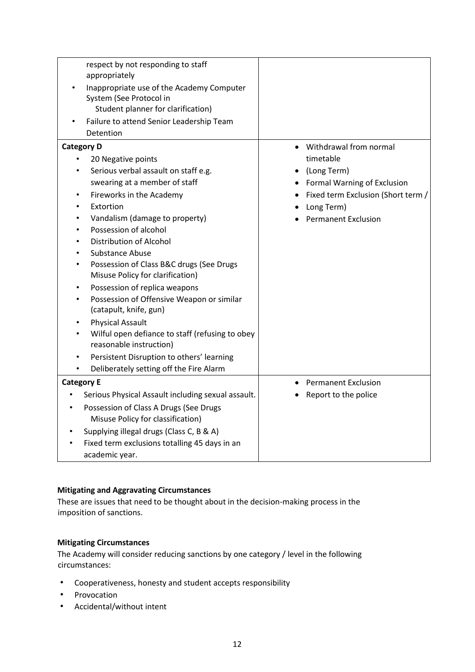| respect by not responding to staff<br>appropriately                        |                                    |
|----------------------------------------------------------------------------|------------------------------------|
| Inappropriate use of the Academy Computer                                  |                                    |
| System (See Protocol in                                                    |                                    |
| Student planner for clarification)                                         |                                    |
| Failure to attend Senior Leadership Team                                   |                                    |
| Detention                                                                  |                                    |
| <b>Category D</b>                                                          | Withdrawal from normal             |
| 20 Negative points                                                         | timetable                          |
| Serious verbal assault on staff e.g.                                       | (Long Term)                        |
| swearing at a member of staff                                              | Formal Warning of Exclusion        |
| Fireworks in the Academy                                                   | Fixed term Exclusion (Short term / |
| Extortion                                                                  | Long Term)                         |
| Vandalism (damage to property)<br>٠                                        | <b>Permanent Exclusion</b>         |
| Possession of alcohol<br>$\bullet$                                         |                                    |
| <b>Distribution of Alcohol</b><br>$\bullet$                                |                                    |
| <b>Substance Abuse</b>                                                     |                                    |
| Possession of Class B&C drugs (See Drugs<br>$\bullet$                      |                                    |
| Misuse Policy for clarification)                                           |                                    |
| Possession of replica weapons                                              |                                    |
| Possession of Offensive Weapon or similar                                  |                                    |
| (catapult, knife, gun)                                                     |                                    |
| <b>Physical Assault</b>                                                    |                                    |
| Wilful open defiance to staff (refusing to obey<br>reasonable instruction) |                                    |
| Persistent Disruption to others' learning<br>٠                             |                                    |
| Deliberately setting off the Fire Alarm                                    |                                    |
| <b>Category E</b>                                                          | <b>Permanent Exclusion</b>         |
| Serious Physical Assault including sexual assault.                         | Report to the police               |
| Possession of Class A Drugs (See Drugs<br>$\bullet$                        |                                    |
| Misuse Policy for classification)                                          |                                    |
| Supplying illegal drugs (Class C, B & A)                                   |                                    |
| Fixed term exclusions totalling 45 days in an                              |                                    |
| academic year.                                                             |                                    |

### **Mitigating and Aggravating Circumstances**

These are issues that need to be thought about in the decision-making process in the imposition of sanctions.

### **Mitigating Circumstances**

The Academy will consider reducing sanctions by one category / level in the following circumstances:

- Cooperativeness, honesty and student accepts responsibility
- Provocation
- Accidental/without intent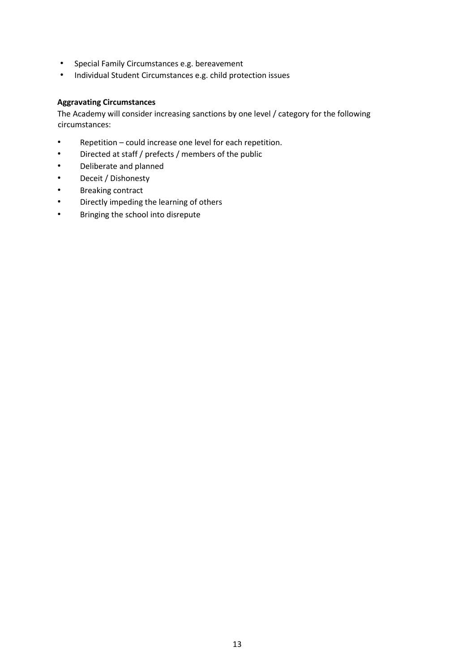- Special Family Circumstances e.g. bereavement
- Individual Student Circumstances e.g. child protection issues

### **Aggravating Circumstances**

The Academy will consider increasing sanctions by one level / category for the following circumstances:

- Repetition could increase one level for each repetition.
- Directed at staff / prefects / members of the public
- Deliberate and planned
- Deceit / Dishonesty
- Breaking contract
- Directly impeding the learning of others
- Bringing the school into disrepute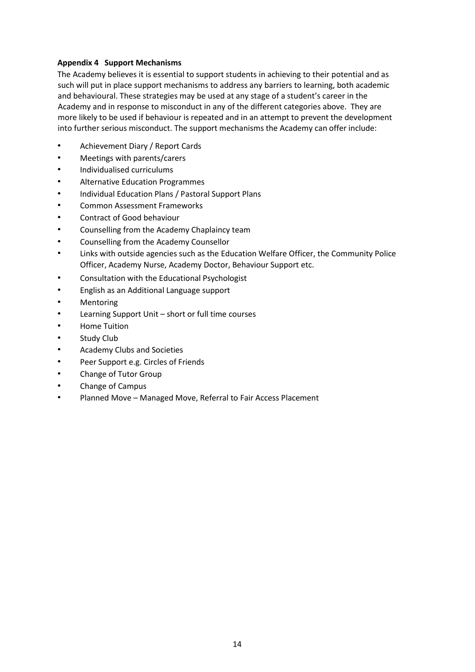### **Appendix 4 Support Mechanisms**

The Academy believes it is essential to support students in achieving to their potential and as such will put in place support mechanisms to address any barriers to learning, both academic and behavioural. These strategies may be used at any stage of a student's career in the Academy and in response to misconduct in any of the different categories above. They are more likely to be used if behaviour is repeated and in an attempt to prevent the development into further serious misconduct. The support mechanisms the Academy can offer include:

- Achievement Diary / Report Cards
- Meetings with parents/carers
- Individualised curriculums
- Alternative Education Programmes
- Individual Education Plans / Pastoral Support Plans
- Common Assessment Frameworks
- Contract of Good behaviour
- Counselling from the Academy Chaplaincy team
- Counselling from the Academy Counsellor
- Links with outside agencies such as the Education Welfare Officer, the Community Police Officer, Academy Nurse, Academy Doctor, Behaviour Support etc.
- Consultation with the Educational Psychologist
- English as an Additional Language support
- **Mentoring**
- Learning Support Unit short or full time courses
- Home Tuition
- Study Club
- Academy Clubs and Societies
- Peer Support e.g. Circles of Friends
- Change of Tutor Group
- Change of Campus
- Planned Move Managed Move, Referral to Fair Access Placement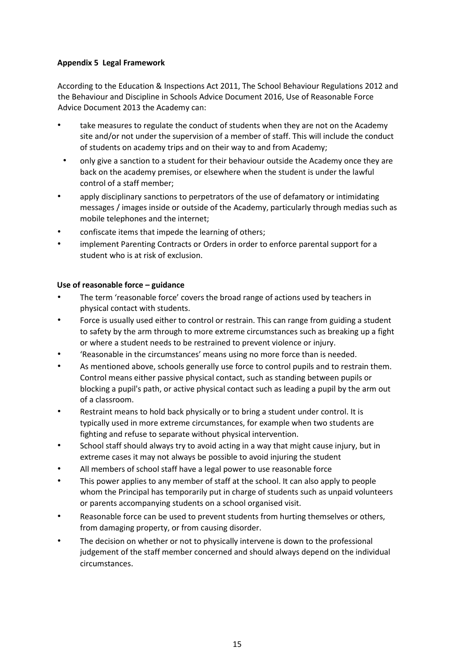### **Appendix 5 Legal Framework**

According to the Education & Inspections Act 2011, The School Behaviour Regulations 2012 and the Behaviour and Discipline in Schools Advice Document 2016, Use of Reasonable Force Advice Document 2013 the Academy can:

- take measures to regulate the conduct of students when they are not on the Academy site and/or not under the supervision of a member of staff. This will include the conduct of students on academy trips and on their way to and from Academy;
- only give a sanction to a student for their behaviour outside the Academy once they are back on the academy premises, or elsewhere when the student is under the lawful control of a staff member;
- apply disciplinary sanctions to perpetrators of the use of defamatory or intimidating messages / images inside or outside of the Academy, particularly through medias such as mobile telephones and the internet;
- confiscate items that impede the learning of others;
- implement Parenting Contracts or Orders in order to enforce parental support for a student who is at risk of exclusion.

### **Use of reasonable force – guidance**

- The term 'reasonable force' covers the broad range of actions used by teachers in physical contact with students.
- Force is usually used either to control or restrain. This can range from guiding a student to safety by the arm through to more extreme circumstances such as breaking up a fight or where a student needs to be restrained to prevent violence or injury.
- 'Reasonable in the circumstances' means using no more force than is needed.
- As mentioned above, schools generally use force to control pupils and to restrain them. Control means either passive physical contact, such as standing between pupils or blocking a pupil's path, or active physical contact such as leading a pupil by the arm out of a classroom.
- Restraint means to hold back physically or to bring a student under control. It is typically used in more extreme circumstances, for example when two students are fighting and refuse to separate without physical intervention.
- School staff should always try to avoid acting in a way that might cause injury, but in extreme cases it may not always be possible to avoid injuring the student
- All members of school staff have a legal power to use reasonable force
- This power applies to any member of staff at the school. It can also apply to people whom the Principal has temporarily put in charge of students such as unpaid volunteers or parents accompanying students on a school organised visit.
- Reasonable force can be used to prevent students from hurting themselves or others, from damaging property, or from causing disorder.
- The decision on whether or not to physically intervene is down to the professional judgement of the staff member concerned and should always depend on the individual circumstances.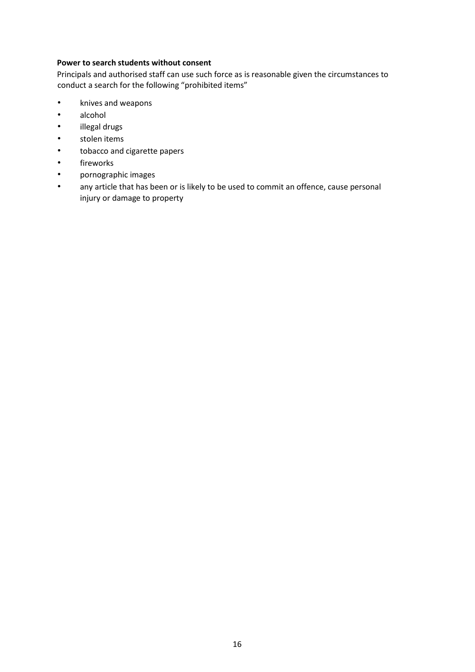### **Power to search students without consent**

Principals and authorised staff can use such force as is reasonable given the circumstances to conduct a search for the following "prohibited items"

- knives and weapons
- alcohol
- illegal drugs
- stolen items
- tobacco and cigarette papers
- fireworks
- pornographic images
- any article that has been or is likely to be used to commit an offence, cause personal injury or damage to property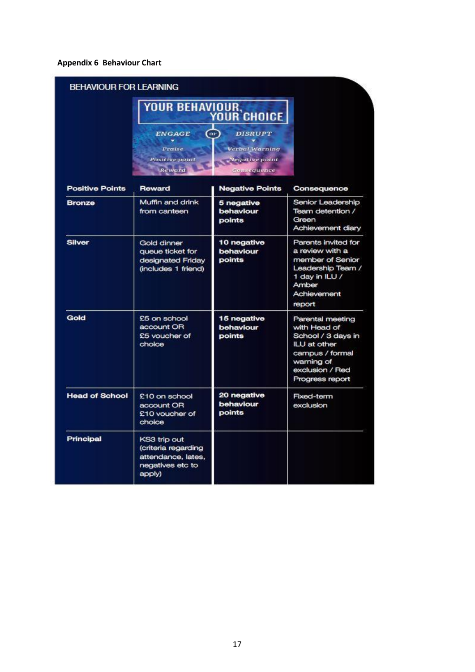# **Appendix 6 Behaviour Chart**

| <b>YOUR BEHAVIOUR,<br/>YOUR CHOICE</b> |                                                                                         |                                    |                                                                                                                                               |
|----------------------------------------|-----------------------------------------------------------------------------------------|------------------------------------|-----------------------------------------------------------------------------------------------------------------------------------------------|
|                                        | <b>ENGAGE</b><br>(or)<br>Praise<br>Positive point<br>Reward                             |                                    |                                                                                                                                               |
| <b>Positive Points</b>                 | Reward                                                                                  | <b>Negative Points</b>             | Consequence                                                                                                                                   |
| <b>Bronze</b>                          | Muffin and drink<br>from canteen                                                        | 5 negative<br>behaviour<br>points  | Senior Leadership<br>Team detention /<br>Green<br>Achievement diary                                                                           |
| <b>Silver</b>                          | Gold dinner<br>queue ticket for<br>designated Friday<br>(includes 1 friend)             | 10 negative<br>behaviour<br>points | Parents invited for<br>a review with a<br>member of Senior<br>Leadership Team /<br>1 day in ILU /<br>Amber<br>Achievement<br>report           |
| Gold                                   | £5 on school<br>account OR<br>£5 voucher of<br>choice                                   | 15 negative<br>behaviour<br>points | Parental meeting<br>with Head of<br>School / 3 days in<br>ILU at other<br>campus / formal<br>warning of<br>exclusion / Red<br>Progress report |
| <b>Head of School</b>                  | £10 on school<br>account OR<br>£10 voucher of<br>choice                                 | 20 negative<br>behaviour<br>points | Fixed-term<br>exclusion                                                                                                                       |
| <b>Principal</b>                       | KS3 trip out<br>(criteria regarding<br>attendance, lates,<br>negatives etc to<br>apply) |                                    |                                                                                                                                               |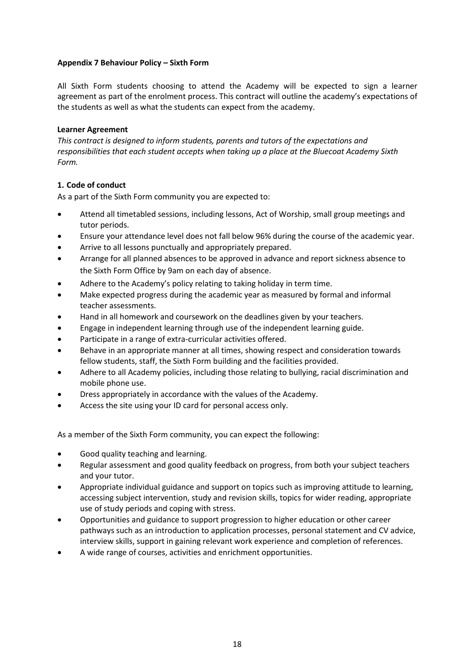### **Appendix 7 Behaviour Policy – Sixth Form**

All Sixth Form students choosing to attend the Academy will be expected to sign a learner agreement as part of the enrolment process. This contract will outline the academy's expectations of the students as well as what the students can expect from the academy.

### **Learner Agreement**

*This contract is designed to inform students, parents and tutors of the expectations and responsibilities that each student accepts when taking up a place at the Bluecoat Academy Sixth Form.* 

### **1. Code of conduct**

As a part of the Sixth Form community you are expected to:

- Attend all timetabled sessions, including lessons, Act of Worship, small group meetings and tutor periods.
- Ensure your attendance level does not fall below 96% during the course of the academic year.
- Arrive to all lessons punctually and appropriately prepared.
- Arrange for all planned absences to be approved in advance and report sickness absence to the Sixth Form Office by 9am on each day of absence.
- Adhere to the Academy's policy relating to taking holiday in term time.
- Make expected progress during the academic year as measured by formal and informal teacher assessments.
- Hand in all homework and coursework on the deadlines given by your teachers.
- Engage in independent learning through use of the independent learning guide.
- Participate in a range of extra-curricular activities offered.
- Behave in an appropriate manner at all times, showing respect and consideration towards fellow students, staff, the Sixth Form building and the facilities provided.
- Adhere to all Academy policies, including those relating to bullying, racial discrimination and mobile phone use.
- Dress appropriately in accordance with the values of the Academy.
- Access the site using your ID card for personal access only.

As a member of the Sixth Form community, you can expect the following:

- Good quality teaching and learning.
- Regular assessment and good quality feedback on progress, from both your subject teachers and your tutor.
- Appropriate individual guidance and support on topics such as improving attitude to learning, accessing subject intervention, study and revision skills, topics for wider reading, appropriate use of study periods and coping with stress.
- Opportunities and guidance to support progression to higher education or other career pathways such as an introduction to application processes, personal statement and CV advice, interview skills, support in gaining relevant work experience and completion of references.
- A wide range of courses, activities and enrichment opportunities.